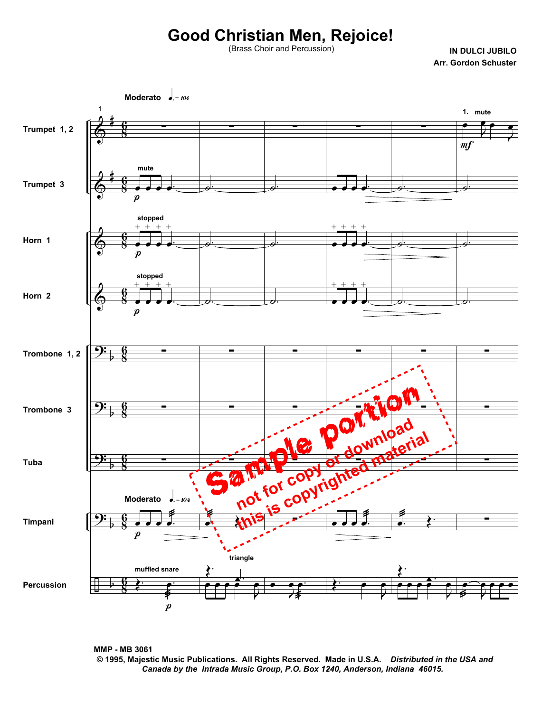## **Good Christian Men, Rejoice!**

(Brass Choir and Percussion) **IN DULCI JUBILO**

**Arr. Gordon Schuster**

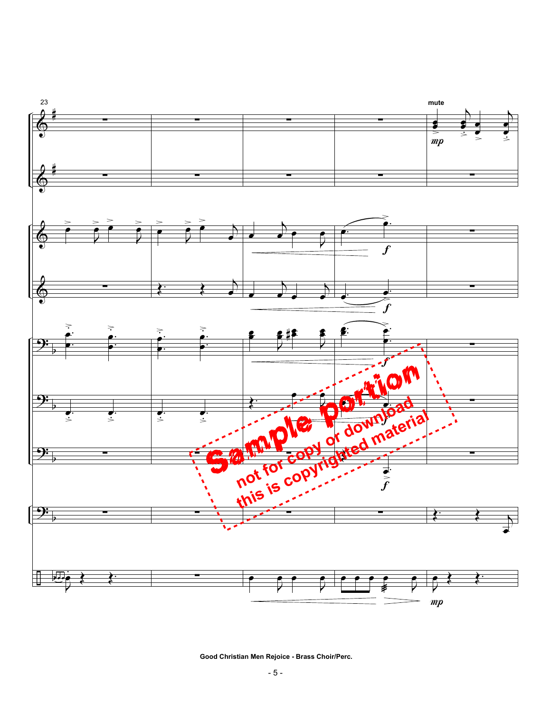

**Good Christian Men Rejoice - Brass Choir/Perc.**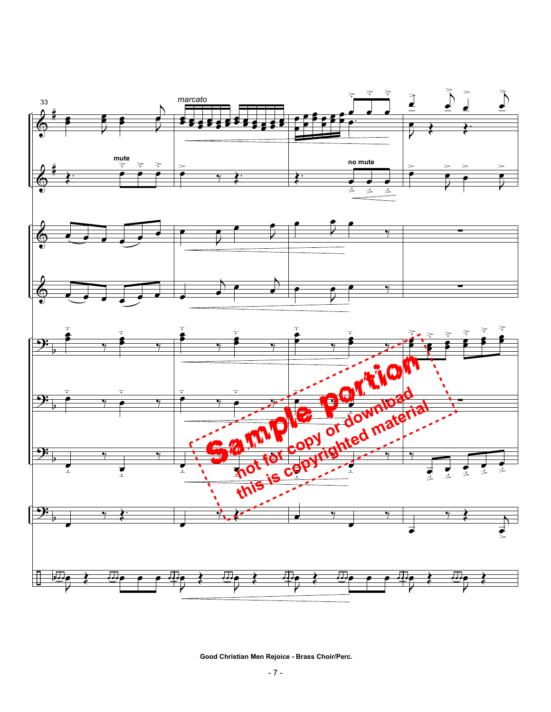

**Good Christian Men Rejoice - Brass Choir/Perc.**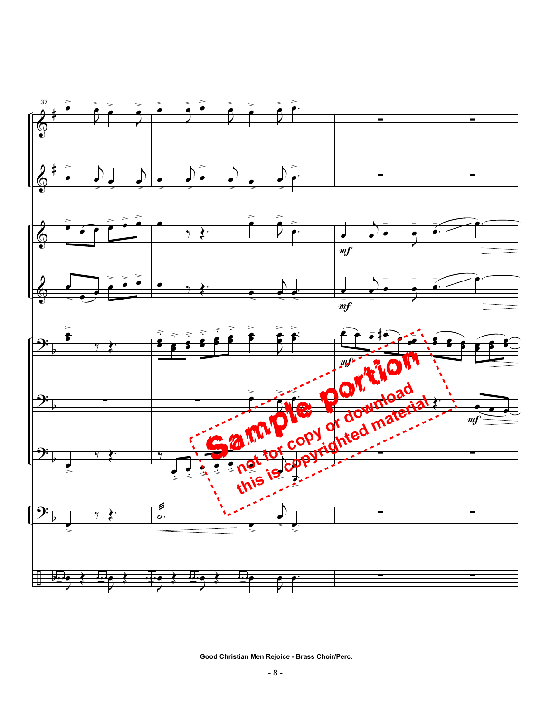

**Good Christian Men Rejoice - Brass Choir/Perc.**